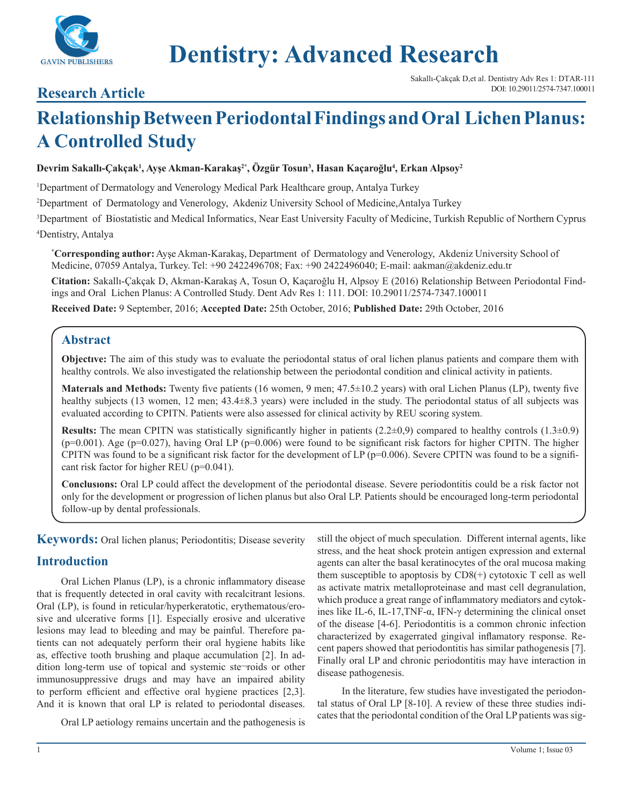

# **Dentistry: Advanced Research**

## **Research Article**

## **Relationship Between Periodontal Findings and Oral Lichen Planus: A Controlled Study**

#### **Devrim Sakallı-Çakçak<sup>1</sup> , Ayşe Akman-Karakaş<sup>2</sup>\* , Özgür Tosun3 , Hasan Kaçaroğlu<sup>4</sup> , Erkan Alpsoy2**

1 Department of Dermatology and Venerology Medical Park Healthcare group, Antalya Turkey

2 Department of Dermatology and Venerology, Akdeniz University School of Medicine,Antalya Turkey

3 Department of Biostatistic and Medical Informatics, Near East University Faculty of Medicine, Turkish Republic of Northern Cyprus 4 Dentistry, Antalya

**\* Corresponding author:** Ayşe Akman-Karakaş, Department of Dermatology and Venerology, Akdeniz University School of Medicine, 07059 Antalya, Turkey. Tel: +90 2422496708; Fax: +90 2422496040; E-mail: aakman@akdeniz.edu.tr

**Citation:** Sakallı-Çakçak D, Akman-Karakaş A, Tosun O, Kaçaroğlu H, Alpsoy E (2016) Relationship Between Periodontal Findings and Oral Lichen Planus: A Controlled Study. Dent Adv Res 1: 111. DOI: 10.29011/2574-7347.100011

**Received Date:** 9 September, 2016; **Accepted Date:** 25th October, 2016; **Published Date:** 29th October, 2016

## **Abstract**

**Objectıve:** The aim of this study was to evaluate the periodontal status of oral lichen planus patients and compare them with healthy controls. We also investigated the relationship between the periodontal condition and clinical activity in patients.

**Materıals and Methods:** Twenty five patients (16 women, 9 men; 47.5±10.2 years) with oral Lichen Planus (LP), twenty five healthy subjects (13 women, 12 men; 43.4±8.3 years) were included in the study. The periodontal status of all subjects was evaluated according to CPITN. Patients were also assessed for clinical activity by REU scoring system.

**Results:** The mean CPITN was statistically significantly higher in patients  $(2.2\pm0.9)$  compared to healthy controls  $(1.3\pm0.9)$  $(p=0.001)$ . Age  $(p=0.027)$ , having Oral LP  $(p=0.006)$  were found to be significant risk factors for higher CPITN. The higher CPITN was found to be a significant risk factor for the development of LP ( $p=0.006$ ). Severe CPITN was found to be a significant risk factor for higher REU (p=0.041).

**Conclusıons:** Oral LP could affect the development of the periodontal disease. Severe periodontitis could be a risk factor not only for the development or progression of lichen planus but also Oral LP. Patients should be encouraged long-term periodontal follow-up by dental professionals.

**Keywords:** Oral lichen planus; Periodontitis; Disease severity

## **Introduction**

Oral Lichen Planus (LP), is a chronic inflammatory disease that is frequently detected in oral cavity with recalcitrant lesions. Oral (LP), is found in reticular/hyperkeratotic, erythematous/erosive and ulcerative forms [1]. Especially erosive and ulcerative lesions may lead to bleeding and may be painful. Therefore patients can not adequately perform their oral hygiene habits like as, effective tooth brushing and plaque accumulation [2]. In addition long-term use of topical and systemic ste-roids or other immunosuppressive drugs and may have an impaired ability to perform efficient and effective oral hygiene practices [2,3]. And it is known that oral LP is related to periodontal diseases.

Oral LP aetiology remains uncertain and the pathogenesis is

still the object of much speculation. Different internal agents, like stress, and the heat shock protein antigen expression and external agents can alter the basal keratinocytes of the oral mucosa making them susceptible to apoptosis by  $CDS(+)$  cytotoxic T cell as well as activate matrix metalloproteinase and mast cell degranulation, which produce a great range of inflammatory mediators and cytokines like IL-6, IL-17, TNF- $\alpha$ , IFN- $\gamma$  determining the clinical onset of the disease [4-6]. Periodontitis is a common chronic infection characterized by exagerrated gingival inflamatory response. Recent papers showed that periodontitis has similar pathogenesis [7]. Finally oral LP and chronic periodontitis may have interaction in disease pathogenesis.

In the literature, few studies have investigated the periodontal status of Oral LP [8-10]. A review of these three studies indicates that the periodontal condition of the Oral LP patients was sig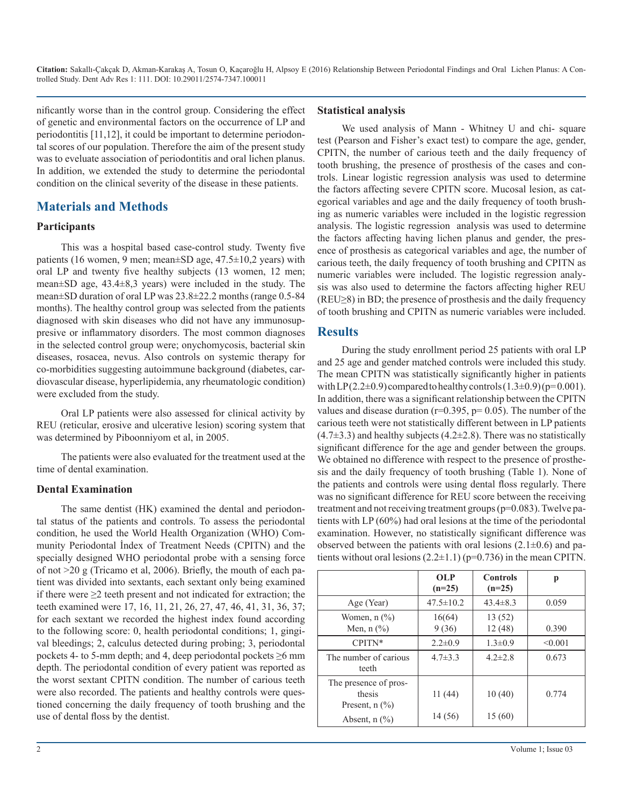nificantly worse than in the control group. Considering the effect of genetic and environmental factors on the occurrence of LP and periodontitis [11,12], it could be important to determine periodontal scores of our population. Therefore the aim of the present study was to eveluate association of periodontitis and oral lichen planus. In addition, we extended the study to determine the periodontal condition on the clinical severity of the disease in these patients.

## **Materials and Methods**

#### **Participants**

This was a hospital based case-control study. Twenty five patients (16 women, 9 men; mean $\pm$ SD age, 47.5 $\pm$ 10.2 years) with oral LP and twenty five healthy subjects (13 women, 12 men; mean±SD age, 43.4±8,3 years) were included in the study. The mean±SD duration of oral LP was 23.8±22.2 months (range 0.5-84 months). The healthy control group was selected from the patients diagnosed with skin diseases who did not have any immunosuppresive or inflammatory disorders. The most common diagnoses in the selected control group were; onychomycosis, bacterial skin diseases, rosacea, nevus. Also controls on systemic therapy for co-morbidities suggesting autoimmune background (diabetes, cardiovascular disease, hyperlipidemia, any rheumatologic condition) were excluded from the study.

Oral LP patients were also assessed for clinical activity by REU (reticular, erosive and ulcerative lesion) scoring system that was determined by Piboonniyom et al, in 2005.

The patients were also evaluated for the treatment used at the time of dental examination.

#### **Dental Examination**

The same dentist (HK) examined the dental and periodontal status of the patients and controls. To assess the periodontal condition, he used the World Health Organization (WHO) Community Periodontal İndex of Treatment Needs (CPITN) and the specially designed WHO periodontal probe with a sensing force of not >20 g (Tricamo et al, 2006). Briefly, the mouth of each patient was divided into sextants, each sextant only being examined if there were  $\geq$  teeth present and not indicated for extraction; the teeth examined were 17, 16, 11, 21, 26, 27, 47, 46, 41, 31, 36, 37; for each sextant we recorded the highest index found according to the following score: 0, health periodontal conditions; 1, gingival bleedings; 2, calculus detected during probing; 3, periodontal pockets 4- to 5-mm depth; and 4, deep periodontal pockets ≥6 mm depth. The periodontal condition of every patient was reported as the worst sextant CPITN condition. The number of carious teeth were also recorded. The patients and healthy controls were questioned concerning the daily frequency of tooth brushing and the use of dental floss by the dentist.

#### **Statistical analysis**

We used analysis of Mann - Whitney U and chi- square test (Pearson and Fisher's exact test) to compare the age, gender, CPITN, the number of carious teeth and the daily frequency of tooth brushing, the presence of prosthesis of the cases and controls. Linear logistic regression analysis was used to determine the factors affecting severe CPITN score. Mucosal lesion, as categorical variables and age and the daily frequency of tooth brushing as numeric variables were included in the logistic regression analysis. The logistic regression analysis was used to determine the factors affecting having lichen planus and gender, the presence of prosthesis as categorical variables and age, the number of carious teeth, the daily frequency of tooth brushing and CPITN as numeric variables were included. The logistic regression analysis was also used to determine the factors affecting higher REU (REU≥8) in BD; the presence of prosthesis and the daily frequency of tooth brushing and CPITN as numeric variables were included.

### **Results**

During the study enrollment period 25 patients with oral LP and 25 age and gender matched controls were included this study. The mean CPITN was statistically significantly higher in patients with LP( $2.2\pm0.9$ ) compared to healthy controls  $(1.3\pm0.9)$  ( $p=0.001$ ). In addition, there was a significant relationship between the CPITN values and disease duration ( $r=0.395$ ,  $p=0.05$ ). The number of the carious teeth were not statistically different between in LP patients  $(4.7\pm3.3)$  and healthy subjects  $(4.2\pm2.8)$ . There was no statistically significant difference for the age and gender between the groups. We obtained no difference with respect to the presence of prosthesis and the daily frequency of tooth brushing (Table 1). None of the patients and controls were using dental floss regularly. There was no significant difference for REU score between the receiving treatment and not receiving treatment groups (p=0.083). Twelve patients with LP (60%) had oral lesions at the time of the periodontal examination. However, no statistically significant difference was observed between the patients with oral lesions  $(2.1\pm0.6)$  and patients without oral lesions  $(2.2\pm 1.1)$  (p=0.736) in the mean CPITN.

|                                                                              | <b>OLP</b><br>$(n=25)$ | <b>Controls</b><br>$(n=25)$ | р       |
|------------------------------------------------------------------------------|------------------------|-----------------------------|---------|
| Age (Year)                                                                   | $47.5 \pm 10.2$        | $43.4 \pm 8.3$              | 0.059   |
| Women, $n$ $\left(\frac{9}{6}\right)$<br>Men, $n$ $\left(\frac{9}{6}\right)$ | 16(64)<br>9(36)        | 13(52)<br>12(48)            | 0.390   |
| $CPITN*$                                                                     | $2.2\pm 0.9$           | $1.3 \pm 0.9$               | < 0.001 |
| The number of carious<br>teeth                                               | $4.7 \pm 3.3$          | $4.2 \pm 2.8$               | 0.673   |
| The presence of pros-<br>thesis<br>Present, $n$ $(\frac{9}{6})$              | 11(44)                 | 10(40)                      | 0.774   |
| Absent, $n$ $\left(\frac{9}{6}\right)$                                       | 14 (56)                | 15(60)                      |         |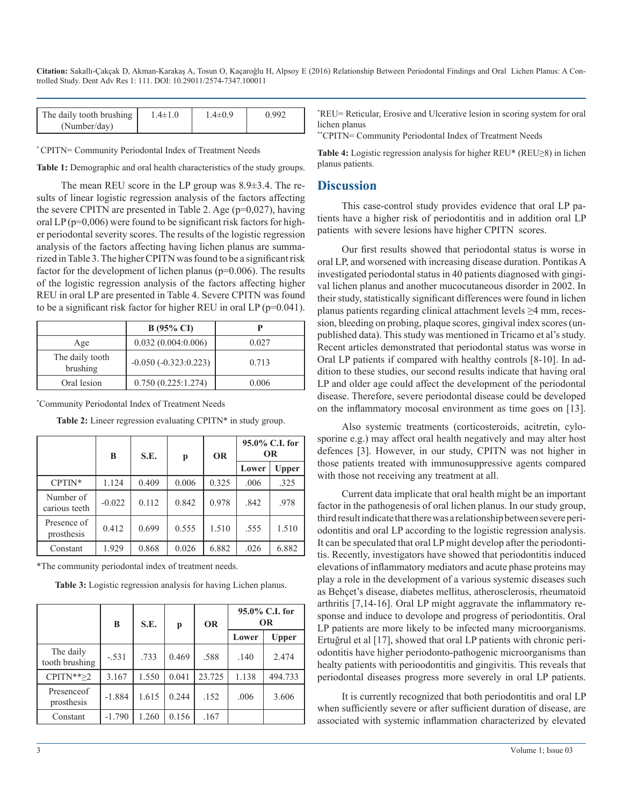**Citation:** Sakallı-Çakçak D, Akman-Karakaş A, Tosun O, Kaçaroğlu H, Alpsoy E (2016) Relationship Between Periodontal Findings and Oral Lichen Planus: A Controlled Study. Dent Adv Res 1: 111. DOI: 10.29011/2574-7347.100011

| The daily tooth brushing<br>(Number/day) | $1.4 \pm 1.0$ | $4\pm 0.9$ | ) 992 |
|------------------------------------------|---------------|------------|-------|
|------------------------------------------|---------------|------------|-------|

\* CPITN= Community Periodontal Index of Treatment Needs

**Table 1:** Demographic and oral health characteristics of the study groups.

The mean REU score in the LP group was 8.9±3.4. The results of linear logistic regression analysis of the factors affecting the severe CPITN are presented in Table 2. Age  $(p=0.027)$ , having oral LP (p=0,006) were found to be significant risk factors for higher periodontal severity scores. The results of the logistic regression analysis of the factors affecting having lichen planus are summarized in Table 3. The higher CPITN was found to be a significant risk factor for the development of lichen planus (p=0.006). The results of the logistic regression analysis of the factors affecting higher REU in oral LP are presented in Table 4. Severe CPITN was found to be a significant risk factor for higher REU in oral LP (p=0.041).

|                             | $B(95\% \text{ CI})$   |       |
|-----------------------------|------------------------|-------|
| Age                         | 0.032(0.004:0.006)     | 0.027 |
| The daily tooth<br>brushing | $-0.050(-0.323:0.223)$ | 0.713 |
| Oral lesion                 | 0.750(0.225:1.274)     | 0.006 |

\* Community Periodontal Index of Treatment Needs

|                            | B        | S.E.  | p     | <b>OR</b> |       | $95.0\%$ C.I. for<br><b>OR</b> |
|----------------------------|----------|-------|-------|-----------|-------|--------------------------------|
|                            |          |       |       |           | Lower | Upper                          |
| $CPTIN*$                   | 1.124    | 0.409 | 0.006 | 0.325     | .006  | .325                           |
| Number of<br>carious teeth | $-0.022$ | 0.112 | 0.842 | 0.978     | .842  | .978                           |
| Presence of<br>prosthesis  | 0.412    | 0.699 | 0.555 | 1.510     | .555  | 1.510                          |
| Constant                   | 1.929    | 0.868 | 0.026 | 6.882     | .026  | 6.882                          |

**Table 2:** Lineer regression evaluating CPITN\* in study group.

\*The community periodontal index of treatment needs.

**Table 3:** Logistic regression analysis for having Lichen planus.

|                             | B        | S.E.  | p     | <b>OR</b> | 95.0% C.I. for<br><b>OR</b> |         |
|-----------------------------|----------|-------|-------|-----------|-----------------------------|---------|
|                             |          |       |       |           | Lower                       | Upper   |
| The daily<br>tooth brushing | $-.531$  | .733  | 0.469 | .588      | .140                        | 2.474   |
| $CPITN**\geq 2$             | 3.167    | 1.550 | 0.041 | 23.725    | 1.138                       | 494.733 |
| Presence of<br>prosthesis   | $-1.884$ | 1.615 | 0.244 | .152      | .006                        | 3.606   |
| Constant                    | $-1.790$ | 1.260 | 0.156 | .167      |                             |         |

\* REU= Reticular, Erosive and Ulcerative lesion in scoring system for oral lichen planus

\*\*CPITN= Community Periodontal Index of Treatment Needs

**Table 4:** Logistic regression analysis for higher REU\* (REU≥8) in lichen planus patients.

#### **Discussion**

This case-control study provides evidence that oral LP patients have a higher risk of periodontitis and in addition oral LP patients with severe lesions have higher CPITN scores.

Our first results showed that periodontal status is worse in oral LP, and worsened with increasing disease duration. Pontikas A investigated periodontal status in 40 patients diagnosed with gingival lichen planus and another mucocutaneous disorder in 2002. In their study, statistically significant differences were found in lichen planus patients regarding clinical attachment levels ≥4 mm, recession, bleeding on probing, plaque scores, gingival index scores (unpublished data). This study was mentioned in Tricamo et al's study. Recent articles demonstrated that periodontal status was worse in Oral LP patients if compared with healthy controls [8-10]. In addition to these studies, our second results indicate that having oral LP and older age could affect the development of the periodontal disease. Therefore, severe periodontal disease could be developed on the inflammatory mocosal environment as time goes on [13].

Also systemic treatments (corticosteroids, acitretin, cylosporine e.g.) may affect oral health negatively and may alter host defences [3]. However, in our study, CPITN was not higher in those patients treated with immunosuppressive agents compared with those not receiving any treatment at all.

Current data implicate that oral health might be an important factor in the pathogenesis of oral lichen planus. In our study group, third result indicate that there was a relationship between severe periodontitis and oral LP according to the logistic regression analysis. It can be speculated that oral LP might develop after the periodontitis. Recently, investigators have showed that periodontitis induced elevations of inflammatory mediators and acute phase proteins may play a role in the development of a various systemic diseases such as Behçet's disease, diabetes mellitus, atherosclerosis, rheumatoid arthritis [7,14-16]. Oral LP might aggravate the inflammatory response and induce to devolope and progress of periodontitis. Oral LP patients are more likely to be infected many microorganisms. Ertuğrul et al [17], showed that oral LP patients with chronic periodontitis have higher periodonto-pathogenic microorganisms than healty patients with perioodontitis and gingivitis. This reveals that periodontal diseases progress more severely in oral LP patients.

It is currently recognized that both periodontitis and oral LP when sufficiently severe or after sufficient duration of disease, are associated with systemic inflammation characterized by elevated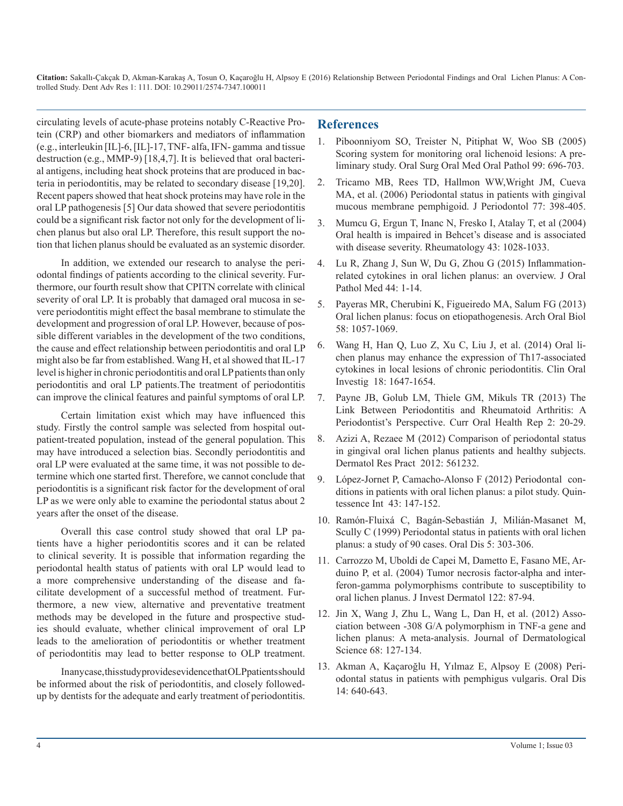**Citation:** Sakallı-Çakçak D, Akman-Karakaş A, Tosun O, Kaçaroğlu H, Alpsoy E (2016) Relationship Between Periodontal Findings and Oral Lichen Planus: A Controlled Study. Dent Adv Res 1: 111. DOI: 10.29011/2574-7347.100011

circulating levels of acute-phase proteins notably C-Reactive Protein (CRP) and other biomarkers and mediators of inflammation (e.g., interleukin [IL]-6, [IL]-17, TNF- alfa, IFN- gamma and tissue destruction (e.g., MMP-9) [18,4,7]. It is believed that oral bacterial antigens, including heat shock proteins that are produced in bacteria in periodontitis, may be related to secondary disease [19,20]. Recent papers showed that heat shock proteins may have role in the oral LP pathogenesis [5] Our data showed that severe periodontitis could be a significant risk factor not only for the development of lichen planus but also oral LP. Therefore, this result support the notion that lichen planus should be evaluated as an systemic disorder.

In addition, we extended our research to analyse the periodontal findings of patients according to the clinical severity. Furthermore, our fourth result show that CPITN correlate with clinical severity of oral LP. It is probably that damaged oral mucosa in severe periodontitis might effect the basal membrane to stimulate the development and progression of oral LP. However, because of possible different variables in the development of the two conditions, the cause and effect relationship between periodontitis and oral LP might also be far from established. Wang H, et al showed that IL-17 level is higher in chronic periodontitis and oral LP patients than only periodontitis and oral LP patients.The treatment of periodontitis can improve the clinical features and painful symptoms of oral LP.

Certain limitation exist which may have influenced this study. Firstly the control sample was selected from hospital outpatient-treated population, instead of the general population. This may have introduced a selection bias. Secondly periodontitis and oral LP were evaluated at the same time, it was not possible to determine which one started first. Therefore, we cannot conclude that periodontitis is a significant risk factor for the development of oral LP as we were only able to examine the periodontal status about 2 years after the onset of the disease.

Overall this case control study showed that oral LP patients have a higher periodontitis scores and it can be related to clinical severity. It is possible that information regarding the periodontal health status of patients with oral LP would lead to a more comprehensive understanding of the disease and facilitate development of a successful method of treatment. Furthermore, a new view, alternative and preventative treatment methods may be developed in the future and prospective studies should evaluate, whether clinical improvement of oral LP leads to the amelioration of periodontitis or whether treatment of periodontitis may lead to better response to OLP treatment.

In any case, this study provides evidence that OLP patients should be informed about the risk of periodontitis, and closely followedup by dentists for the adequate and early treatment of periodontitis.

#### **References**

- 1. Piboonniyom SO, Treister N, Pitiphat W, Woo SB (2005) Scoring system for monitoring oral lichenoid lesions: A preliminary study. Oral Surg Oral Med Oral Pathol 99: 696-703.
- 2. Tricamo MB, Rees TD, Hallmon WW,Wright JM, Cueva MA, et al. (2006) Periodontal status in patients with gingival mucous membrane pemphigoid. J Periodontol 77: 398-405.
- 3. Mumcu G, Ergun T, Inanc N, Fresko I, Atalay T, et al (2004) Oral health is impaired in Behcet's disease and is associated with disease severity. Rheumatology 43: 1028-1033.
- 4. Lu R, Zhang J, Sun W, Du G, Zhou G (2015) Inflammationrelated cytokines in oral lichen planus: an overview. J Oral Pathol Med 44: 1-14.
- 5. Payeras MR, Cherubini K, Figueiredo MA, Salum FG (2013) Oral lichen planus: focus on etiopathogenesis. Arch Oral Biol 58: 1057-1069.
- 6. Wang H, Han Q, Luo Z, Xu C, Liu J, et al. (2014) Oral lichen planus may enhance the expression of Th17-associated cytokines in local lesions of chronic periodontitis. Clin Oral Investig 18: 1647-1654.
- 7. Payne JB, Golub LM, Thiele GM, Mikuls TR (2013) The Link Between Periodontitis and Rheumatoid Arthritis: A Periodontist's Perspective. Curr Oral Health Rep 2: 20-29.
- 8. Azizi A, Rezaee M (2012) Comparison of periodontal status in gingival oral lichen planus patients and healthy subjects. Dermatol Res Pract 2012: 561232.
- 9. López-Jornet P, Camacho-Alonso F (2012) Periodontal conditions in patients with oral lichen planus: a pilot study. Quintessence Int 43: 147-152.
- 10. Ramón-Fluixá C, Bagán-Sebastián J, Milián-Masanet M, Scully C (1999) Periodontal status in patients with oral lichen planus: a study of 90 cases. Oral Dis 5: 303-306.
- 11. Carrozzo M, Uboldi de Capei M, Dametto E, Fasano ME, Arduino P, et al. (2004) Tumor necrosis factor-alpha and interferon-gamma polymorphisms contribute to susceptibility to oral lichen planus. J Invest Dermatol 122: 87-94.
- 12. Jin X, Wang J, Zhu L, Wang L, Dan H, et al. (2012) Association between -308 G/A polymorphism in TNF-a gene and lichen planus: A meta-analysis. Journal of Dermatological Science 68: 127-134.
- 13. Akman A, Kaçaroğlu H, Yılmaz E, Alpsoy E (2008) Periodontal status in patients with pemphigus vulgaris. Oral Dis 14: 640-643.